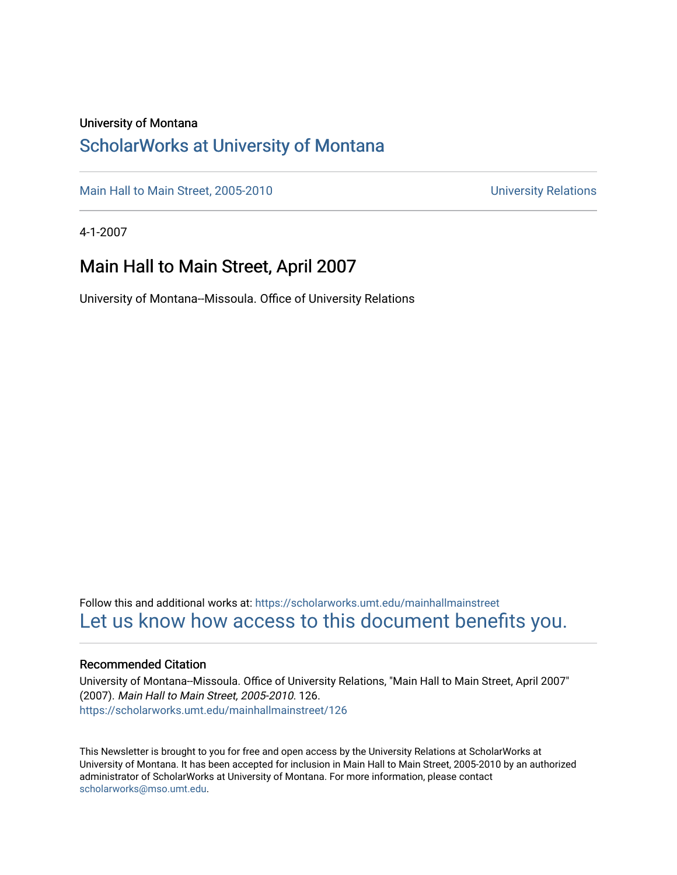## University of Montana

## [ScholarWorks at University of Montana](https://scholarworks.umt.edu/)

[Main Hall to Main Street, 2005-2010](https://scholarworks.umt.edu/mainhallmainstreet) Main Hall to Main Street, 2005-2010

4-1-2007

## Main Hall to Main Street, April 2007

University of Montana--Missoula. Office of University Relations

Follow this and additional works at: [https://scholarworks.umt.edu/mainhallmainstreet](https://scholarworks.umt.edu/mainhallmainstreet?utm_source=scholarworks.umt.edu%2Fmainhallmainstreet%2F126&utm_medium=PDF&utm_campaign=PDFCoverPages) [Let us know how access to this document benefits you.](https://goo.gl/forms/s2rGfXOLzz71qgsB2) 

### Recommended Citation

University of Montana--Missoula. Office of University Relations, "Main Hall to Main Street, April 2007" (2007). Main Hall to Main Street, 2005-2010. 126. [https://scholarworks.umt.edu/mainhallmainstreet/126](https://scholarworks.umt.edu/mainhallmainstreet/126?utm_source=scholarworks.umt.edu%2Fmainhallmainstreet%2F126&utm_medium=PDF&utm_campaign=PDFCoverPages)

This Newsletter is brought to you for free and open access by the University Relations at ScholarWorks at University of Montana. It has been accepted for inclusion in Main Hall to Main Street, 2005-2010 by an authorized administrator of ScholarWorks at University of Montana. For more information, please contact [scholarworks@mso.umt.edu.](mailto:scholarworks@mso.umt.edu)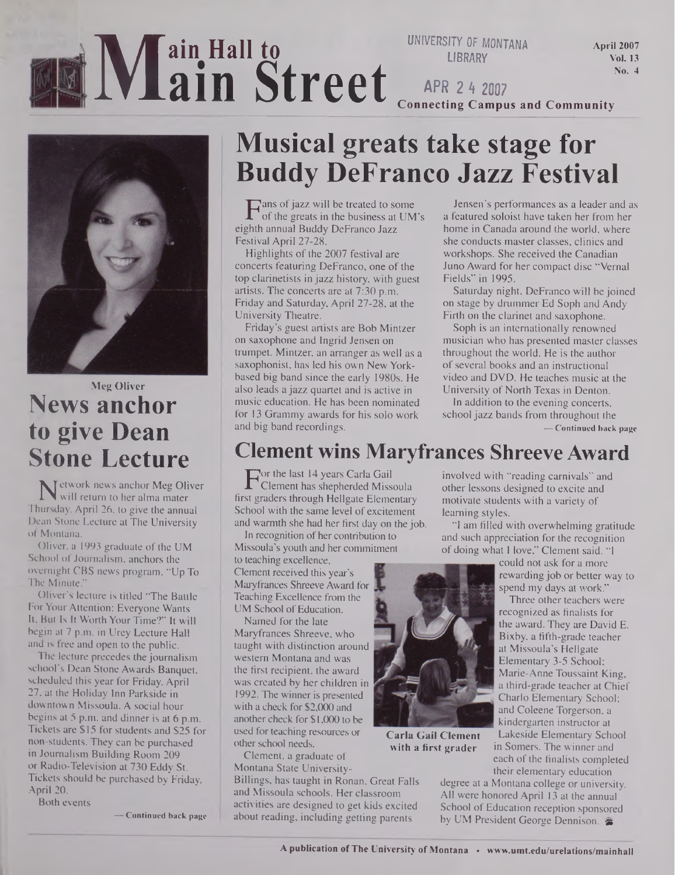# <sup>i</sup>**M ain Hall to ain Street**

**UNIVERSITY OF MONTANA LIBRARY**

April 2007 Vol. 13 No. 4

**APR 2 4 2007 Connecting Campus and Community**



## **Meg Oliver News anchor to give Dean Stone Lecture**

Network news anchor Meg Oliver<br>will return to her alma mater<br>sursday, April 26, to give the annual will return to her alma mater Thursday, April 26, to give the annual Dean Stone Lecture at The University of Montana.

Oliver, a 1993 graduate of the UM School of Journalism, anchors the overnight CBS news program, "Up To The Minute."

Oliver's lecture is titled "The Battle For Your Attention: Everyone Wants It, But Is It Worth Your Time?" It will begin at 7 p.m. in Urey Lecture Hall and is free and open to the public.

The lecture precedes the journalism school's Dean Stone Awards Banquet, scheduled this year for Friday, April 27, at the Holiday Inn Parkside in downtown Missoula. A social hour begins at 5 p.m. and dinner is at 6 p.m. Tickets are \$15 for students and \$25 for non-students. They can be purchased in Journalism Building Room 209 or Radio-Television at 730 Eddy St. Tickets should be purchased by Friday, April 20.

Both events

**— Continued back page**

## **Musical greats take stage for Buddy DeFranco Jazz Festival**

 $\Gamma$  ans of jazz will be treated to some<br>of the greats in the business at UN<br>ghth annual Buddy DeFranco Jazz of the greats in the business at UM's eighth annual Buddy DeFranco Jazz Festival April 27-28.

Highlights of the 2007 festival are concerts featuring DeFranco, one of the top clarinetists in jazz history, with guest artists. The concerts are at 7:30 p.m. Friday and Saturday, April 27-28, at the University Theatre.

Friday's guest artists are Bob Mintzer on saxophone and Ingrid Jensen on trumpet. Mintzer, an arranger as well as a saxophonist, has led his own New Yorkbased big band since the early 1980s. He also leads a jazz quartet and is active in music education. He has been nominated for 13 Grammy awards for his solo work and big band recordings.

Jensen's performances as a leader and as a featured soloist have taken her from her home in Canada around the world, where she conducts master classes, clinics and workshops. She received the Canadian Juno Award for her compact disc "Vernal Fields" in 1995.

Saturday night, DeFranco will be joined on stage by drummer Ed Soph and Andy Firth on the clarinet and saxophone.

Soph is an internationally renowned musician who has presented master classes throughout the world. He is the author of several books and an instructional video and DVD. He teaches music at the University of North Texas in Denton.

In addition to the evening concerts, school jazz bands from throughout the **— Continued back page**

## **Clement wins Maryfrances Shreeve Award**

For the last 14 years Carla Gail<br>Clement has shepherded Miss<br>st graders through Hellgate Eleme Clement has shepherded Missoula first graders through Hellgate Elementary School with the same level of excitement and warmth she had her first day on the job.

In recognition of her contribution to Missoula's youth and her commitment to teaching excellence,

Clement received this year's Maryfrances Shreeve Award for Teaching Excellence from the UM School of Education.

Named for the late Maryfrances Shreeve, who taught with distinction around western Montana and was the first recipient, the award was created by her children in 1992. The winner is presented with a check for \$2,000 and another check for \$1,000 to be used for teaching resources or other school needs.

Clement, a graduate of Montana State University-Billings, has taught in Ronan, Great Falls and Missoula schools. Her classroom activities are designed to get kids excited about reading, including getting parents



**Carla Gail Clement with a first grader**

involved with "reading carnivals" and other lessons designed to excite and motivate students with a variety of learning styles.

"I am filled with overwhelming gratitude and such appreciation for the recognition of doing what I love," Clement said. "I

> could not ask for a more rewarding job or better way to spend my days at work."

Three other teachers were recognized as finalists for the award. They are David E. Bixby, a fifth-grade teacher at Missoula's Hellgate Elementary 3-5 School; Marie-Anne Toussaint King, a third-grade teacher at Chief Charlo Elementary School; and Coleene Torgerson, a kindergarten instructor at

Lakeside Elementary School in Somers. The winner and each of the finalists completed their elementary education

degree at a Montana college or university. All were honored April 13 at the annual School of Education reception sponsored by UM President George Dennison.  $\approx$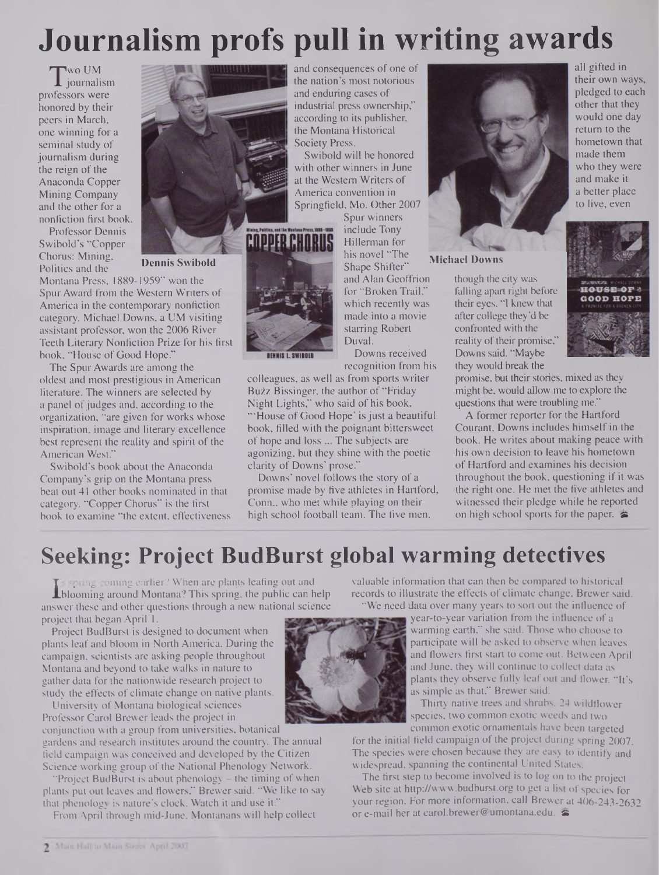## **Journalism profs pull in writing awards**

T journalism<br>ofessors were 'wo UM professors were honored by their peers in March, one winning for a seminal study of journalism during the reign of the Anaconda Copper Mining Company and the other for a nonfiction first book.

Swibold's "Copper Chorus: Mining, Politics and the

Professor Dennis

**Dennis Swibold Dennis Swibold Swibold Swibold Shape Shifters Michael Downs** 

Montana Press, 1889-1959" won the Spur Award from the Western Writers of America in the contemporary nonfiction category. Michael Downs, a UM visiting assistant professor, won the 2006 River Teeth Literary Nonfiction Prize for his first book, "House of Good Hope."

The Spur Awards are among the oldest and most prestigious in American literature. The winners are selected by a panel of judges and, according to the organization, "are given for works whose inspiration, image and literary excellence best represent the reality and spirit of the American West."

Swibold's book about the Anaconda Company's grip on the Montana press beat out 41 other books nominated in that category. "Copper Chorus" is the first book to examine "the extent, effectiveness and consequences of one of the nation's most notorious and enduring cases of industrial press ownership," according to its publisher, the Montana Historical Society Press.

Swibold will be honored with other winners in June at the Western Writers of America convention in Springfield, Mo. Other 2007 Spur winners

include Tony Hillerman for his novel "The BENNIS L. SWIBBLD

Shape Shifter" and Alan Geoffrion for "Broken Trail," which recently was made into a movie starring Robert Duval. Downs received

recognition from his

colleagues, as well as from sports writer Bu2z Bissinger, the author of "Friday Night Lights," who said of his book, "House of Good Hope' is just a beautiful book, filled with the poignant bittersweet of hope and loss ... The subjects are agonizing, but they shine with the poetic clarity of Downs' prose."

Downs' novel follows the story of a promise made by five athletes in Hartford, Conn., who met while playing on their high school football team. The five men,



all gifted in their own ways, pledged to each other that they would one day return to the hometown that made them who they were and make it a better place to live, even

**HOUSE OF 3 GOOD HOPE** 

though the city was falling apart right before their eyes. "I knew that after college they'd be confronted with the reality of their promise," Downs said. "Maybe they would break the

promise, but their stories, mixed as they might be, would allow me to explore the questions that were troubling me.

A former reporter for the Hartford Courant, Downs includes himself in the book. He writes about making peace with his own decision to leave his hometown of Hartford and examines his decision throughout the book, questioning if it was the right one. He met the five athletes and witnessed their pledge while he reported on high school sports for the paper.  $\triangle$ 

## **Seeking: Project BudBurst global warming detectives**

If a spring coming carrier? When are plants teating out and<br> **L**iblooming around Montana? This spring, the public can help<br>
swer these and other questions through a new national science spring coming earlier? When are plants leafing out and answer these and other questions through a new national science project that began April 1.

Project BudBurst is designed to document when plants leaf and bloom in North America. During the campaign, scientists are asking people throughout Montana and beyond to take walks in nature to gather data for the nationwide research project to study the effects of climate change on native plants.

University of Montana biological sciences Professor Carol Brewer leads the project in

conjunction with a group from universities, botanical gardens and research institutes around the country. The annual field campaign was conceived and developed by the Citizen Science working group of the National Phenology Network.

"Project BudBurst is about phenology – the timing of when plants put out leaves and flowers," Brewer said. "We like to say that phenology is nature's clock. Watch it and use it.'

From April through mid-June, Montanans will help collect

valuable information that can then be compared to historical records to illustrate the effects of climate change. Brewer said. "We need data over many years to sort out the influence of

year-to-year variation from the influence of a warming earth," she said. Those who choose to participate will be asked to observe when leaves and flowers first start to come out. Between April and June, they will continue to collect data as plants they observe fully leaf out and flower. "It's as simple as that," Brewer said.

Thirty native trees and shrubs, 24 wildflower species, two common exotic weeds and two common exotic ornamentals have been targeted

for the initial field campaign of the project during spring 2007. The species were chosen because they are easy to identify and widespread, spanning the continental United States.

The first step to become involved is to log on to the project Web site at <http://www.budburst.org> to get a list of species for your region. For more information, call Brewer at 406-243-2632 or e-mail her at [carol.brewer@umontana.edu](mailto:carol.brewer@umontana.edu).  $\epsilon$ 

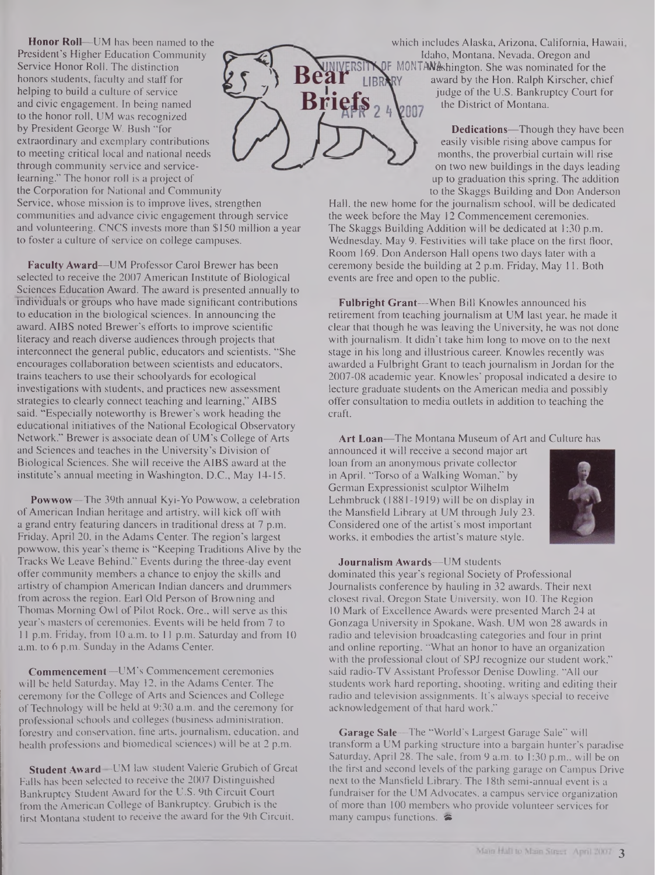**Honor Roll—**UM has been named to the President's Higher Education Community Service Honor Roll. The distinction honors students, faculty and staff for helping to build a culture of service and civic engagement. In being named to the honor roll, UM was recognized by President George W. Bush "for extraordinary and exemplary contributions to meeting critical local and national needs through community service and servicelearning." The honor roll is a project of the Corporation for National and Community

Service, whose mission is to improve lives, strengthen communities and advance civic engagement through service and volunteering. CNCS invests more than \$150 million a year to foster a culture of service on college campuses.

**Faculty Award—**UM Professor Carol Brewer has been selected to receive the 2007 American Institute of Biological Sciences Education Award. The award is presented annually to mdividuals or groups who have made significant contributions to education in the biological sciences. In announcing the award, AIBS noted Brewer's efforts to improve scientific literacy and reach diverse audiences through projects that interconnect the general public, educators and scientists. "She encourages collaboration between scientists and educators, trains teachers to use their schoolyards for ecological investigations with students, and practices new assessment strategies to clearly connect teaching and learning," AIBS said. "Especially noteworthy is Brewer's work heading the educational initiatives of the National Ecological Observatory Network." Brewer is associate dean of UM's College of Arts and Sciences and teaches in the University's Division of Biological Sciences. She will receive the AIBS award at the institute's annual meeting in Washington, D.C., May 14-15.

**Powwow—**The 39th annual Kyi-Yo Powwow, a celebration ofAmerican Indian heritage and artistry, will kick off with a grand entry featuring dancers in traditional dress at 7 p.m. Friday, April 20, in the Adams Center. The region's largest powwow, this year's theme is "Keeping Traditions Alive by the Tracks We Leave Behind." Events during the three-day event offer community members a chance to enjoy the skills and artistry of champion American Indian dancers and drummers from across the region. Earl Old Person of Browning and Thomas Morning Owl of Pilot Rock, Ore., will serve as this year's masters of ceremonies. Events will be held from 7 to <sup>11</sup> p.m. Friday, from 10 a.m. to 11 p.m. Saturday and from 10 a.m. to 6 p.m. Sunday in the Adams Center.

**Commencement—-**UM's Commencement ceremonies will be held Saturday, May 12, in the Adams Center. The ceremony for the College of Arts and Sciences and College ofTechnology will be held at 9:30 a.m. and the ceremony for professional schools and colleges (business administration, forestry and conservation, fine arts, journalism, education, and health professions and biomedical sciences) will be at 2 p.m.

**Student Award—**UM law student Valerie Grubich of Great Falls has been selected to receive the 2007 Distinguished Bankruptcy Student Award for the U.S. 9th Circuit Court from the American College of Bankruptcy. Grubich is the first Montana student to receive the award for the 9th Circuit,



which includes Alaska, Arizona, California, Hawaii Idaho, Montana, Nevada, Oregon and DF MONTAWashington. She was nominated for the award by the Hon. Ralph Kirscher, chief judge of the U.S. Bankruptcy Court for the District of Montana.

> **Dedications—**Though they have been easily visible rising above campus for months, the proverbial curtain will rise on two new buildings in the days leading up to graduation this spring. The addition to the Skaggs Building and Don Anderson

Hall, the new home for the journalism school, will be dedicated the week before the May 12 Commencement ceremonies. The Skaggs Building Addition will be dedicated at 1:30 p.m. Wednesday, May 9. Festivities will take place on the first floor, Room 169. Don Anderson Hall opens two days later with a ceremony beside the building at 2 p.m. Friday, May 11. Both events are free and open to the public.

**Fulbright Grant—**When Bill Knowles announced his retirement from teaching journalism at UM last year, he made it clear that though he was leaving the University, he was not done with journalism. It didn't take him long to move on to the next stage in his long and illustrious career. Knowles recently was awarded a Fulbright Grant to teach journalism in Jordan for the 2007-08 academic year. Knowles' proposal indicated a desire to lecture graduate students on the American media and possibly offer consultation to media outlets in addition to teaching the craft.

Art Loan-The Montana Museum of Art and Culture has

announced it will receive a second major art loan from an anonymous private collector in April. "Torso of a Walking Woman," by German Expressionist sculptor Wilhelm Lehmbruck (1881-1919) will be on display in the Mansfield Library at UM through July 23. Considered one of the artist's most important works, it embodies the artist's mature style.



#### **Journalism Awards—**UM students

dominated this year's regional Society of Professional Journalists conference by hauling in 32 awards. Their next closest rival, Oregon State University, won 10. The Region 10 Mark of Excellence Awards were presented March 24 at Gonzaga University in Spokane, Wash. UM won 28 awards in radio and television broadcasting categories and four in print and online reporting. "What an honor to have an organization with the professional clout of SPJ recognize our student work," said radio-TV Assistant Professor Denise Dowling. "All our students work hard reporting, shooting, writing and editing their radio and television assignments. It's always special to receive acknowledgement of that hard work."

**Garage Sale—**The "World's Largest Garage Sale" will transform a UM parking structure into a bargain hunter's paradise Saturday, April 28. The sale, from 9 a.m. to 1:30 p.m., will be on the first and second levels of the parking garage on Campus Drive next to the Mansfield Library. The 18th semi-annual event is a fundraiser for the UM Advocates, a campus service organization of more than 100 members who provide volunteer services for many campus functions.  $\approx$